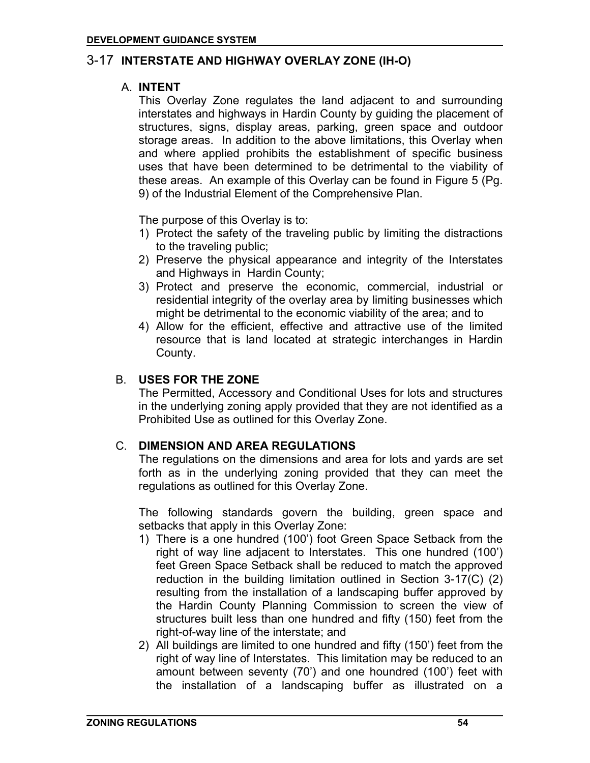# 3-17 **INTERSTATE AND HIGHWAY OVERLAY ZONE (IH-O)**

### A. **INTENT**

This Overlay Zone regulates the land adjacent to and surrounding interstates and highways in Hardin County by guiding the placement of structures, signs, display areas, parking, green space and outdoor storage areas. In addition to the above limitations, this Overlay when and where applied prohibits the establishment of specific business uses that have been determined to be detrimental to the viability of these areas. An example of this Overlay can be found in Figure 5 (Pg. 9) of the Industrial Element of the Comprehensive Plan.

The purpose of this Overlay is to:

- 1) Protect the safety of the traveling public by limiting the distractions to the traveling public;
- 2) Preserve the physical appearance and integrity of the Interstates and Highways in Hardin County;
- 3) Protect and preserve the economic, commercial, industrial or residential integrity of the overlay area by limiting businesses which might be detrimental to the economic viability of the area; and to
- 4) Allow for the efficient, effective and attractive use of the limited resource that is land located at strategic interchanges in Hardin County.

## B. **USES FOR THE ZONE**

The Permitted, Accessory and Conditional Uses for lots and structures in the underlying zoning apply provided that they are not identified as a Prohibited Use as outlined for this Overlay Zone.

### C. **DIMENSION AND AREA REGULATIONS**

The regulations on the dimensions and area for lots and yards are set forth as in the underlying zoning provided that they can meet the regulations as outlined for this Overlay Zone.

The following standards govern the building, green space and setbacks that apply in this Overlay Zone:

- 1) There is a one hundred (100') foot Green Space Setback from the right of way line adjacent to Interstates. This one hundred (100') feet Green Space Setback shall be reduced to match the approved reduction in the building limitation outlined in Section 3-17(C) (2) resulting from the installation of a landscaping buffer approved by the Hardin County Planning Commission to screen the view of structures built less than one hundred and fifty (150) feet from the right-of-way line of the interstate; and
- 2) All buildings are limited to one hundred and fifty (150') feet from the right of way line of Interstates. This limitation may be reduced to an amount between seventy (70') and one houndred (100') feet with the installation of a landscaping buffer as illustrated on a